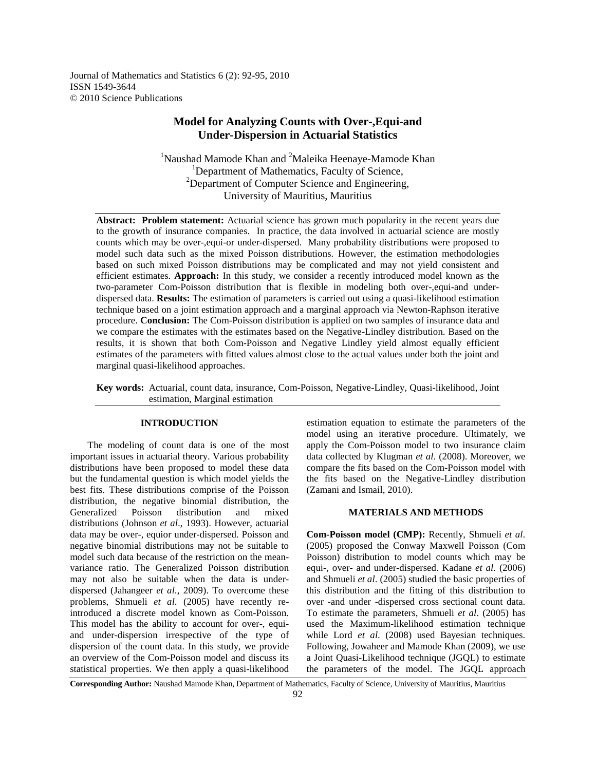Journal of Mathematics and Statistics 6 (2): 92-95, 2010 ISSN 1549-3644 © 2010 Science Publications

# **Model for Analyzing Counts with Over-,Equi-and Under-Dispersion in Actuarial Statistics**

<sup>1</sup>Naushad Mamode Khan and <sup>2</sup>Maleika Heenaye-Mamode Khan <sup>1</sup>Department of Mathematics, Faculty of Science,  $2$ Department of Computer Science and Engineering, University of Mauritius, Mauritius

**Abstract: Problem statement:** Actuarial science has grown much popularity in the recent years due to the growth of insurance companies. In practice, the data involved in actuarial science are mostly counts which may be over-,equi-or under-dispersed. Many probability distributions were proposed to model such data such as the mixed Poisson distributions. However, the estimation methodologies based on such mixed Poisson distributions may be complicated and may not yield consistent and efficient estimates. **Approach:** In this study, we consider a recently introduced model known as the two-parameter Com-Poisson distribution that is flexible in modeling both over-,equi-and underdispersed data. **Results:** The estimation of parameters is carried out using a quasi-likelihood estimation technique based on a joint estimation approach and a marginal approach via Newton-Raphson iterative procedure. **Conclusion:** The Com-Poisson distribution is applied on two samples of insurance data and we compare the estimates with the estimates based on the Negative-Lindley distribution. Based on the results, it is shown that both Com-Poisson and Negative Lindley yield almost equally efficient estimates of the parameters with fitted values almost close to the actual values under both the joint and marginal quasi-likelihood approaches.

**Key words:** Actuarial, count data, insurance, Com-Poisson, Negative-Lindley, Quasi-likelihood, Joint estimation, Marginal estimation

## **INTRODUCTION**

 The modeling of count data is one of the most important issues in actuarial theory. Various probability distributions have been proposed to model these data but the fundamental question is which model yields the best fits. These distributions comprise of the Poisson distribution, the negative binomial distribution, the Generalized Poisson distribution and mixed distributions (Johnson *et al*., 1993). However, actuarial data may be over-, equior under-dispersed. Poisson and negative binomial distributions may not be suitable to model such data because of the restriction on the meanvariance ratio. The Generalized Poisson distribution may not also be suitable when the data is underdispersed (Jahangeer *et al*., 2009). To overcome these problems, Shmueli *et al*. (2005) have recently reintroduced a discrete model known as Com-Poisson. This model has the ability to account for over-, equiand under-dispersion irrespective of the type of dispersion of the count data. In this study, we provide an overview of the Com-Poisson model and discuss its statistical properties. We then apply a quasi-likelihood

estimation equation to estimate the parameters of the model using an iterative procedure. Ultimately, we apply the Com-Poisson model to two insurance claim data collected by Klugman *et al*. (2008). Moreover, we compare the fits based on the Com-Poisson model with the fits based on the Negative-Lindley distribution (Zamani and Ismail, 2010).

## **MATERIALS AND METHODS**

**Com-Poisson model (CMP):** Recently, Shmueli *et al*. (2005) proposed the Conway Maxwell Poisson (Com Poisson) distribution to model counts which may be equi-, over- and under-dispersed. Kadane *et al*. (2006) and Shmueli *et al*. (2005) studied the basic properties of this distribution and the fitting of this distribution to over -and under -dispersed cross sectional count data. To estimate the parameters, Shmueli *et al*. (2005) has used the Maximum-likelihood estimation technique while Lord *et al*. (2008) used Bayesian techniques. Following, Jowaheer and Mamode Khan (2009), we use a Joint Quasi-Likelihood technique (JGQL) to estimate the parameters of the model. The JGQL approach

**Corresponding Author:** Naushad Mamode Khan, Department of Mathematics, Faculty of Science, University of Mauritius, Mauritius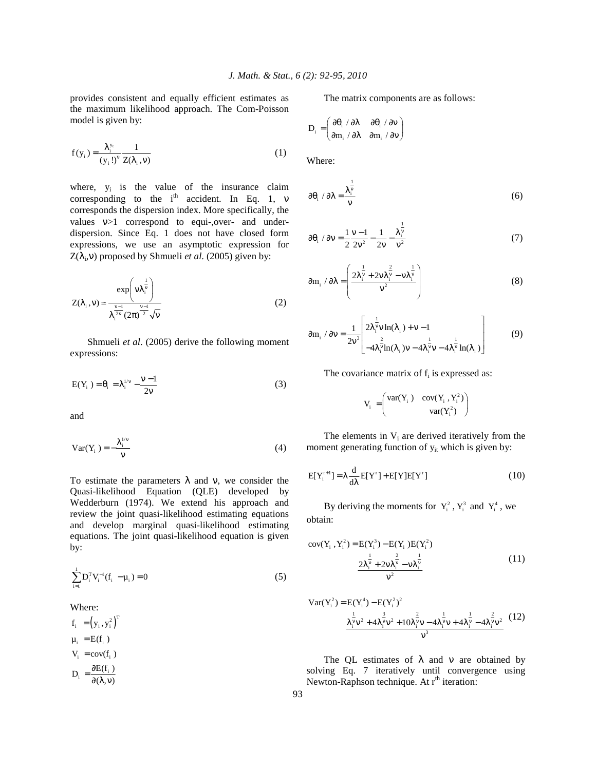provides consistent and equally efficient estimates as the maximum likelihood approach. The Com-Poisson model is given by:

$$
f(y_i) = \frac{\lambda_i^{y_i}}{(y_i!)^{\nu}} \frac{1}{Z(\lambda_i, v)}
$$
(1)

where,  $y_i$  is the value of the insurance claim corresponding to the  $i<sup>th</sup>$  accident. In Eq. 1,  $\nu$ corresponds the dispersion index. More specifically, the values ν>1 correspond to equi-,over- and underdispersion. Since Eq. 1 does not have closed form expressions, we use an asymptotic expression for  $Z(\lambda_i, v)$  proposed by Shmueli *et al.* (2005) given by:

$$
Z(\lambda_i, v) \simeq \frac{\exp\left(v\lambda_i^{\frac{1}{v}}\right)}{\lambda_i^{\frac{v-1}{2}} (2\pi)^{\frac{v-1}{2}} \sqrt{v}}
$$
 (2)

 Shmueli *et al*. (2005) derive the following moment expressions:

$$
E(Y_i) = \theta_i = \lambda_i^{1/\nu} - \frac{\nu - 1}{2\nu}
$$
 (3)

and

$$
Var(Y_i) = -\frac{\lambda_i^{1/v}}{v}
$$
 (4)

To estimate the parameters  $\lambda$  and v, we consider the Quasi-likelihood Equation (QLE) developed by Wedderburn (1974). We extend his approach and review the joint quasi-likelihood estimating equations and develop marginal quasi-likelihood estimating equations. The joint quasi-likelihood equation is given by:

$$
\sum_{i=1}^{1} D_i^{\mathrm{T}} V_i^{-1} (f_i - \mu_i) = 0
$$
 (5)

Where:

 $f_i = (y_i, y_i^2)^T$  $\mu_i$  = E(f<sub>i</sub>)  $V_i = cov(f_i)$  $D_i = \frac{\partial E(f_i)}{\partial(\lambda, v)}$  $=\frac{\partial E(f_i)}{\partial(\lambda,v)}$ 

The matrix components are as follows:

$$
D_i = \begin{pmatrix} \partial \theta_i \ / \ \partial \lambda & \ \partial \theta_i \ / \ \partial \nu \\ \partial m_i \ / \ \partial \lambda & \ \partial m_i \ / \ \partial \nu \end{pmatrix}
$$

Where:

$$
\partial \theta_i / \partial \lambda = \frac{\lambda_i^{\frac{1}{\nu}}}{\nu}
$$
 (6)

$$
\partial \theta_i / \partial v = \frac{1}{2} \frac{v - 1}{2v^2} - \frac{1}{2v} - \frac{\lambda_i^{\frac{1}{v}}}{v^2}
$$
 (7)

$$
\partial \mathbf{m}_{i} / \partial \lambda = \left( \frac{2\lambda_{i}^{\frac{1}{\mathbf{v}}} + 2\mathbf{v}\lambda_{i}^{\frac{2}{\mathbf{v}}} - \mathbf{v}\lambda_{i}^{\frac{1}{\mathbf{v}}} }{\mathbf{v}^{2}} \right)
$$
(8)

$$
\partial m_{i} / \partial v = \frac{1}{2v^{3}} \left[ \frac{2\lambda_{i}^{\frac{1}{2}} v \ln(\lambda_{i}) + v - 1}{-4\lambda_{i}^{\frac{2}{2}} \ln(\lambda_{i}) v - 4\lambda_{i}^{\frac{1}{2}} v - 4\lambda_{i}^{\frac{1}{2}} \ln(\lambda_{i})} \right]
$$
(9)

The covariance matrix of  $f_i$  is expressed as:

$$
V_i = \begin{pmatrix} var(Y_i) & cov(Y_i, Y_i^2) \\ var(Y_i^2) \end{pmatrix}
$$

The elements in  $V_i$  are derived iteratively from the moment generating function of  $y_{it}$  which is given by:

$$
E[Y_i^{r+1}] = \lambda \frac{d}{d\lambda} E[Y^r] + E[Y]E[Y^r]
$$
\n(10)

By deriving the moments for  $Y_i^2$ ,  $Y_i^3$  and  $Y_i^4$ , we obtain:

$$
cov(Y_i, Y_i^2) = E(Y_i^3) - E(Y_i)E(Y_i^2)
$$
  

$$
\frac{2\lambda_i^{\frac{1}{\nu}} + 2\nu\lambda_i^{\frac{2}{\nu}} - \nu\lambda_i^{\frac{1}{\nu}}}{\nu^2}
$$
 (11)

Var(Y<sub>i</sub><sup>2</sup>) = E(Y<sub>i</sub><sup>4</sup>) – E(Y<sub>i</sub><sup>2</sup>)<sup>2</sup>  
\n
$$
\frac{1}{\lambda_i^2 v^2 + 4\lambda_i^3 v^2 + 10\lambda_i^3 v - 4\lambda_i^3 v + 4\lambda_i^{\frac{1}{\nu}} - 4\lambda_i^{\frac{2}{\nu}} v^2}
$$
\n(12)

The QL estimates of  $\lambda$  and  $\nu$  are obtained by solving Eq. 7 iteratively until convergence using Newton-Raphson technique. At  $r<sup>th</sup>$  iteration: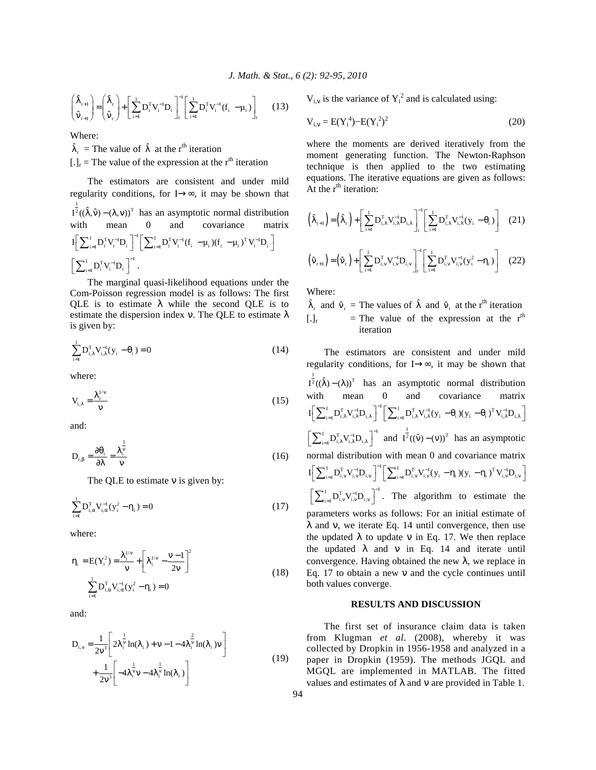$$
\begin{pmatrix} \hat{\lambda}_{r+1} \\ \hat{\mathbf{v}}_{r+1} \end{pmatrix} = \begin{pmatrix} \hat{\lambda}_r \\ \hat{\mathbf{v}}_r \end{pmatrix} + \left[ \sum_{i=1}^1 \mathbf{D}_i^{\mathrm{T}} \mathbf{V}_i^{-1} \mathbf{D}_i \right]_r^{-1} \left[ \sum_{i=1}^1 \mathbf{D}_i^{\mathrm{T}} \mathbf{V}_i^{-1} (\mathbf{f}_i - \boldsymbol{\mu}_i) \right]_r \tag{13}
$$

Where:

 $\hat{\lambda}_r$  = The value of  $\hat{\lambda}$  at the r<sup>th</sup> iteration  $[.]_{r}$  = The value of the expression at the r<sup>th</sup> iteration

 The estimators are consistent and under mild regularity conditions, for I→∞, it may be shown that 1  $I^{\bar{2}}((\hat{\lambda}, \hat{v}) - (\lambda, v))^T$  has an asymptotic normal distribution with mean 0 and covariance matrix  $\textbf{I} \bigg[ \sum\nolimits_{i=1}^{I} \mathbf{D}_i^{\text{T}} \mathbf{V}_i^{-1} \mathbf{D}_i \bigg]^{-1} \bigg[ \sum\nolimits_{i=1}^{I} \mathbf{D}_i^{\text{T}} \mathbf{V}_i^{-1} (\mathbf{f}_i \; -\mathbf{\mu}_i) (\mathbf{f}_i \; -\mathbf{\mu}_i) \big\}^{\text{T}} \mathbf{V}_i^{-1} \mathbf{D}_i \; \bigg]$  $\left[\sum\nolimits^{\mathrm{I}}_{\mathrm{i=1}}\mathrm{D}_{\mathrm{i}}^{\mathrm{T}}\mathrm{V}_{\mathrm{i}}^{-\mathrm{l}}\mathrm{D}_{\mathrm{i}}\ \right]^{-\mathrm{l}}\,.$ 

 The marginal quasi-likelihood equations under the Com-Poisson regression model is as follows: The first QLE is to estimate  $\lambda$  while the second QLE is to estimate the dispersion index v. The QLE to estimate  $\lambda$ is given by:

$$
\sum_{i=1}^{1} D_{i,\lambda}^{T} V_{i,\lambda}^{-1} (y_i - \theta_i) = 0
$$
 (14)

where:

$$
V_{i,\lambda} = \frac{\lambda_i^{1/\nu}}{v}
$$
 (15)

and:

$$
D_{i,\beta} = \frac{\partial \theta_i}{\partial \lambda} = \frac{\lambda_i^{\frac{1}{\nu}}}{\nu}
$$
 (16)

The QLE to estimate  $\nu$  is given by:

$$
\sum_{i=1}^{1} D_{i,\alpha}^{T} V_{i,\alpha}^{-1} (y_i^2 - \eta_i) = 0
$$
 (17)

where:

$$
\eta_{i} = E(Y_{i}^{2}) = \frac{\lambda_{i}^{1/v}}{v} + \left[\lambda_{i}^{1/v} - \frac{v - 1}{2v}\right]^{2}
$$
  

$$
\sum_{i=1}^{1} D_{i,\alpha}^{T} V_{i,\alpha}^{-1}(y_{i}^{2} - \eta_{i}) = 0
$$
 (18)

and:

$$
D_{i,v} = \frac{1}{2v^3} \left[ 2\lambda_i^{\frac{1}{v}} \ln(\lambda_i) + v - 1 - 4\lambda_i^{\frac{2}{v}} \ln(\lambda_i) v \right] + \frac{1}{2v^3} \left[ -4\lambda_i^{\frac{1}{v}} v - 4\lambda_i^{\frac{1}{v}} \ln(\lambda_i) \right]
$$
(19)

 $V_{i,v}$  is the variance of  $Y_i^2$  and is calculated using:

$$
V_{i,v} = E(Y_i^4) - E(Y_i^2)^2
$$
 (20)

where the moments are derived iteratively from the moment generating function. The Newton-Raphson technique is then applied to the two estimating equations. The iterative equations are given as follows: At the  $r<sup>th</sup>$  iteration:

$$
\left(\hat{\lambda}_{r+1}\right) = \left(\hat{\lambda}_{r}\right) + \left[\sum_{i=1}^{1} D_{i,\lambda}^{T} V_{i,\lambda}^{-1} D_{i,\lambda}\right]_{r}^{-1} \left[\sum_{i=1}^{1} D_{i,\lambda}^{T} V_{i,\lambda}^{-1} (y_{i} - \theta_{i})\right]
$$
(21)

$$
\left(\hat{\mathbf{v}}_{r+1}\right) = \left(\hat{\mathbf{v}}_{r}\right) + \left[\sum_{i=1}^{1} \mathbf{D}_{i,v}^{T} \mathbf{V}_{i,v}^{-1} \mathbf{D}_{i,v}\right]_{r}^{1} \left[\sum_{i=1}^{1} \mathbf{D}_{i,v}^{T} \mathbf{V}_{i,v}^{-1} (\mathbf{y}_{i}^{2} - \eta_{i})\right]
$$
(22)

Where:

$$
\hat{\lambda}_r
$$
 and  $\hat{v}_r$  = The values of  $\hat{\lambda}$  and  $\hat{v}_r$  at the r<sup>th</sup> iteration  
\n[.]<sub>r</sub> = The value of the expression at the r<sup>th</sup> iteration

 The estimators are consistent and under mild regularity conditions, for I→∞, it may be shown that 1  $I^{\bar{2}}((\hat{\lambda}) - (\lambda))^T$  has an asymptotic normal distribution with mean 0 and covariance matrix  $\begin{split} \boldsymbol{I}\bigg[\sum\nolimits_{i=1}^{I}\boldsymbol{D}_{i,\lambda}^{T}\boldsymbol{V}_{i,\lambda}^{-1}\boldsymbol{D}_{i,\lambda}\,\bigg]^{-1}\bigg[\sum\nolimits_{i=1}^{I}\boldsymbol{D}_{i,\lambda}^{T}\boldsymbol{V}_{i,\lambda}^{-1}(\boldsymbol{y}_{i} - \boldsymbol{\theta}_{i}\,) (\boldsymbol{y}_{i} - \boldsymbol{\theta}_{i}\,)^{T}\boldsymbol{V}_{i,\lambda}^{-1}\boldsymbol{D}_{i,\lambda}\,\bigg] \end{split}$  $\left[\sum_{i=1}^I D_{i,\lambda}^T V_{i,\lambda}^{-1} D_{i,\lambda}\right]^{-1}$  and  $I^{\frac{1}{2}}((\hat{v}) - (v))^T$  has an asymptotic normal distribution with mean 0 and covariance matrix  $I \left[ \sum_{i=1}^{I} D_{i,v}^{T} V_{i,v}^{-1} D_{i,v} \right]^{-1} \left[ \sum_{i=1}^{I} D_{i,v}^{T} V_{i,v}^{-1} (y_{i} - \eta_{i}) (y_{i} - \eta_{i})^{T} V_{i,v}^{-1} D_{i,v} \right]$  $\left[\sum_{i=1}^{I} D_{i,v}^{T} V_{i,v}^{-1} D_{i,v}\right]^{-1}$ . The algorithm to estimate the parameters works as follows: For an initial estimate of  $\lambda$  and v, we iterate Eq. 14 until convergence, then use the updated  $λ$  to update v in Eq. 17. We then replace the updated  $\lambda$  and  $\nu$  in Eq. 14 and iterate until convergence. Having obtained the new  $\lambda$ , we replace in Eq. 17 to obtain a new ν and the cycle continues until both values converge.

### **RESULTS AND DISCUSSION**

 The first set of insurance claim data is taken from Klugman *et al*. (2008), whereby it was collected by Dropkin in 1956-1958 and analyzed in a paper in Dropkin (1959). The methods JGQL and MGQL are implemented in MATLAB. The fitted values and estimates of  $\lambda$  and  $\nu$  are provided in Table 1.